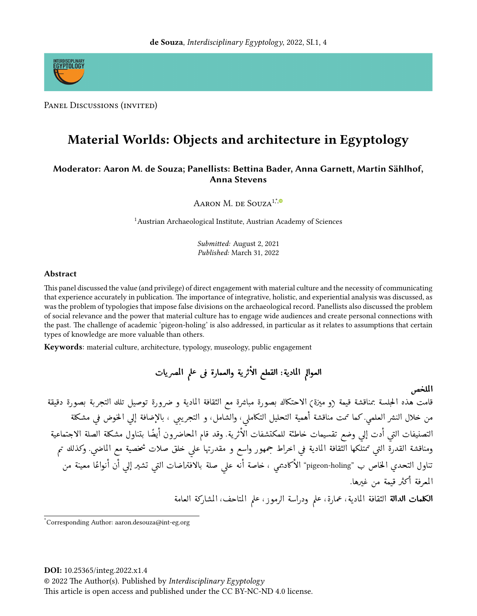

PANEL DISCUSSIONS (INVITED)

# Material Worlds: Objects and architecture in Egyptology

### Moderator: Aaron M. de Souza; Panellists: Bettina Bader, Anna Garnett, Martin Sählhof, **Anna Stevens**

AARON M. DE SOUZA<sup>1,\*,®</sup>

<sup>1</sup>Austrian Archaeological Institute, Austrian Academy of Sciences

Submitted: August 2, 2021 Published: March 31, 2022

#### **Abstract**

This panel discussed the value (and privilege) of direct engagement with material culture and the necessity of communicating that experience accurately in publication. The importance of integrative, holistic, and experiential analysis was discussed, as was the problem of typologies that impose false divisions on the archaeological record. Panellists also discussed the problem of social relevance and the power that material culture has to engage wide audiences and create personal connections with the past. The challenge of academic 'pigeon-holing' is also addressed, in particular as it relates to assumptions that certain types of knowledge are more valuable than others.

Keywords: material culture, architecture, typology, museology, public engagement

الملخص

قامت هذه الجلسة بمناقشة قيمة (و ميزة) الاحتكاك بصورة مباشرة مع الثقافة المادية و ضرورة توصيل تلك التجربة بصورة دقيقة من خلال النشر العلمي. كما تمت مناقشة أهمية التحليل التكاملي، والشامل، و التجريبي ، بالإضافة إلى الخوض في مشكلة التصنيفات التي أدت إلى وضع تقسيمات خاطئة للمكتشفات الأثرية. وقد قام المحاضرون أيضًا بتناول مشكلة الصلة الاجتماعية ومناقشة القدرة التي تمتلكها الثقافة المادية في اخراط جمهور واسع و مقدرتها على خلق صلات شخصية مع الماضي. وكذلك تم تناول التحدي الحاص ب "pigeon-holing" الأكاديمي ، خاصة أنه علي صلة بالافتراضات التي تشير إلي أن أنواعًا معينة من المعرفة أكثر قيمة من غيرها. **الكلمات الدالة** الثقافة المادية، عمارة، علم ودراسة الرموز، علم المتاحف، المشاركة العامة

Corresponding Author: aaron.desouza@int-eg.org

© 2022 The Author(s). Published by Interdisciplinary Egyptology

This article is open access and published under the CC BY-NC-ND 4.0 license.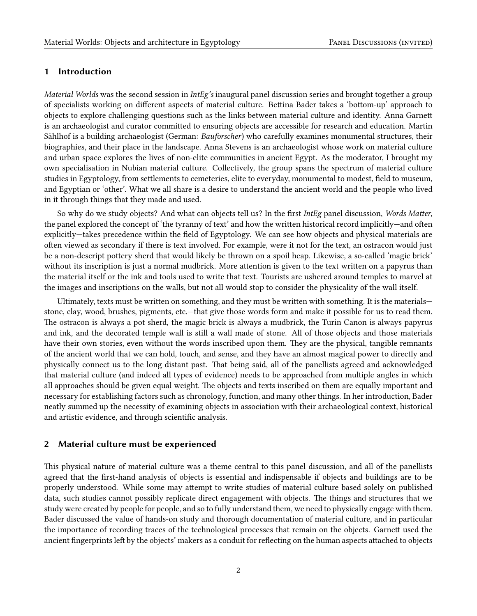#### 1 Introduction

Material Worlds was the second session in IntEg's inaugural panel discussion series and brought together a group of specialists working on different aspects of material culture. Bettina Bader takes a 'bottom-up' approach to objects to explore challenging questions such as the links between material culture and identity. Anna Garnett is an archaeologist and curator committed to ensuring objects are accessible for research and education. Martin Sählhof is a building archaeologist (German: Bauforscher) who carefully examines monumental structures, their biographies, and their place in the landscape. Anna Stevens is an archaeologist whose work on material culture and urban space explores the lives of non-elite communities in ancient Egypt. As the moderator, I brought my own specialisation in Nubian material culture. Collectively, the group spans the spectrum of material culture studies in Egyptology, from settlements to cemeteries, elite to everyday, monumental to modest, field to museum, and Egyptian or 'other'. What we all share is a desire to understand the ancient world and the people who lived in it through things that they made and used.

So why do we study objects? And what can objects tell us? In the first IntEg panel discussion, Words Matter, the panel explored the concept of 'the tyranny of text' and how the written historical record implicitly—and often explicitly—takes precedence within the field of Egyptology. We can see how objects and physical materials are often viewed as secondary if there is text involved. For example, were it not for the text, an ostracon would just be a non-descript pottery sherd that would likely be thrown on a spoil heap. Likewise, a so-called 'magic brick' without its inscription is just a normal mudbrick. More attention is given to the text written on a papyrus than the material itself or the ink and tools used to write that text. Tourists are ushered around temples to marvel at the images and inscriptions on the walls, but not all would stop to consider the physicality of the wall itself.

Ultimately, texts must be written on something, and they must be written with something. It is the materials stone, clay, wood, brushes, pigments, etc.—that give those words form and make it possible for us to read them. The ostracon is always a pot sherd, the magic brick is always a mudbrick, the Turin Canon is always papyrus and ink, and the decorated temple wall is still a wall made of stone. All of those objects and those materials have their own stories, even without the words inscribed upon them. They are the physical, tangible remnants of the ancient world that we can hold, touch, and sense, and they have an almost magical power to directly and physically connect us to the long distant past. That being said, all of the panellists agreed and acknowledged that material culture (and indeed all types of evidence) needs to be approached from multiple angles in which all approaches should be given equal weight. The objects and texts inscribed on them are equally important and necessary for establishing factors such as chronology, function, and many other things. In her introduction, Bader neatly summed up the necessity of examining objects in association with their archaeological context, historical and artistic evidence, and through scientific analysis.

#### 2 Material culture must be experienced

This physical nature of material culture was a theme central to this panel discussion, and all of the panellists agreed that the first-hand analysis of objects is essential and indispensable if objects and buildings are to be properly understood. While some may attempt to write studies of material culture based solely on published data, such studies cannot possibly replicate direct engagement with objects. The things and structures that we study were created by people for people, and so to fully understand them, we need to physically engage with them. Bader discussed the value of hands-on study and thorough documentation of material culture, and in particular the importance of recording traces of the technological processes that remain on the objects. Garnett used the ancient fingerprints left by the objects' makers as a conduit for reflecting on the human aspects attached to objects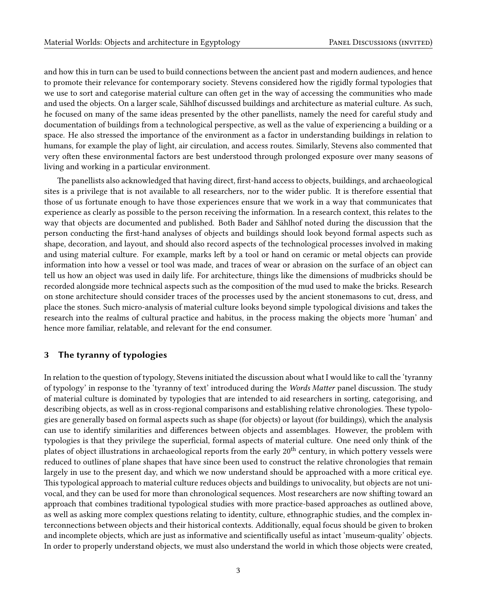and how this in turn can be used to build connections between the ancient past and modern audiences, and hence to promote their relevance for contemporary society. Stevens considered how the rigidly formal typologies that we use to sort and categorise material culture can often get in the way of accessing the communities who made and used the objects. On a larger scale, Sählhof discussed buildings and architecture as material culture. As such, he focused on many of the same ideas presented by the other panellists, namely the need for careful study and documentation of buildings from a technological perspective, as well as the value of experiencing a building or a space. He also stressed the importance of the environment as a factor in understanding buildings in relation to humans, for example the play of light, air circulation, and access routes. Similarly, Stevens also commented that very often these environmental factors are best understood through prolonged exposure over many seasons of living and working in a particular environment.

The panellists also acknowledged that having direct, first-hand access to objects, buildings, and archaeological sites is a privilege that is not available to all researchers, nor to the wider public. It is therefore essential that those of us fortunate enough to have those experiences ensure that we work in a way that communicates that experience as clearly as possible to the person receiving the information. In a research context, this relates to the way that objects are documented and published. Both Bader and Sählhof noted during the discussion that the person conducting the first-hand analyses of objects and buildings should look beyond formal aspects such as shape, decoration, and layout, and should also record aspects of the technological processes involved in making and using material culture. For example, marks left by a tool or hand on ceramic or metal objects can provide information into how a vessel or tool was made, and traces of wear or abrasion on the surface of an object can tell us how an object was used in daily life. For architecture, things like the dimensions of mudbricks should be recorded alongside more technical aspects such as the composition of the mud used to make the bricks. Research on stone architecture should consider traces of the processes used by the ancient stonemasons to cut, dress, and place the stones. Such micro-analysis of material culture looks beyond simple typological divisions and takes the research into the realms of cultural practice and habitus, in the process making the objects more 'human' and hence more familiar, relatable, and relevant for the end consumer.

#### 3 The tyranny of typologies

In relation to the question of typology, Stevens initiated the discussion about what I would like to call the 'tyranny of typology' in response to the 'tyranny of text' introduced during the Words Matter panel discussion. The study of material culture is dominated by typologies that are intended to aid researchers in sorting, categorising, and describing objects, as well as in cross-regional comparisons and establishing relative chronologies. These typologies are generally based on formal aspects such as shape (for objects) or layout (for buildings), which the analysis can use to identify similarities and differences between objects and assemblages. However, the problem with typologies is that they privilege the superficial, formal aspects of material culture. One need only think of the plates of object illustrations in archaeological reports from the early  $20^{th}$  century, in which pottery vessels were reduced to outlines of plane shapes that have since been used to construct the relative chronologies that remain largely in use to the present day, and which we now understand should be approached with a more critical eye. This typological approach to material culture reduces objects and buildings to univocality, but objects are not univocal, and they can be used for more than chronological sequences. Most researchers are now shifting toward an approach that combines traditional typological studies with more practice-based approaches as outlined above, as well as asking more complex questions relating to identity, culture, ethnographic studies, and the complex interconnections between objects and their historical contexts. Additionally, equal focus should be given to broken and incomplete objects, which are just as informative and scientifically useful as intact 'museum-quality' objects. In order to properly understand objects, we must also understand the world in which those objects were created,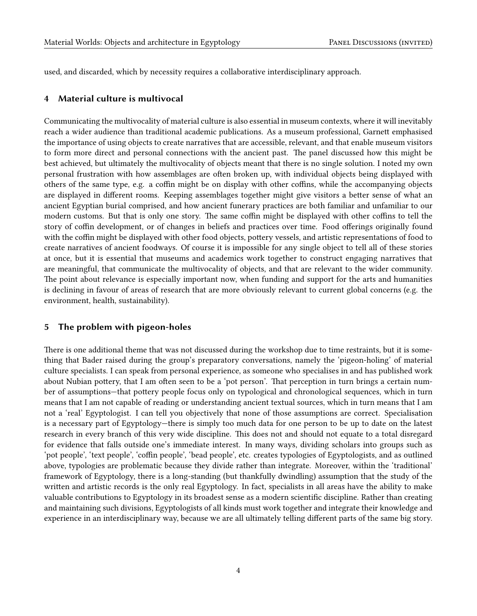used, and discarded, which by necessity requires a collaborative interdisciplinary approach.

#### 4 Material culture is multivocal

Communicating the multivocality of material culture is also essential in museum contexts, where it will inevitably reach a wider audience than traditional academic publications. As a museum professional, Garnett emphasised the importance of using objects to create narratives that are accessible, relevant, and that enable museum visitors to form more direct and personal connections with the ancient past. The panel discussed how this might be best achieved, but ultimately the multivocality of objects meant that there is no single solution. I noted my own personal frustration with how assemblages are often broken up, with individual objects being displayed with others of the same type, e.g. a coffin might be on display with other coffins, while the accompanying objects are displayed in different rooms. Keeping assemblages together might give visitors a better sense of what an ancient Egyptian burial comprised, and how ancient funerary practices are both familiar and unfamiliar to our modern customs. But that is only one story. The same coffin might be displayed with other coffins to tell the story of coffin development, or of changes in beliefs and practices over time. Food offerings originally found with the coffin might be displayed with other food objects, pottery vessels, and artistic representations of food to create narratives of ancient foodways. Of course it is impossible for any single object to tell all of these stories at once, but it is essential that museums and academics work together to construct engaging narratives that are meaningful, that communicate the multivocality of objects, and that are relevant to the wider community. The point about relevance is especially important now, when funding and support for the arts and humanities is declining in favour of areas of research that are more obviously relevant to current global concerns (e.g. the environment, health, sustainability).

#### 5 The problem with pigeon-holes

There is one additional theme that was not discussed during the workshop due to time restraints, but it is something that Bader raised during the group's preparatory conversations, namely the 'pigeon-holing' of material culture specialists. I can speak from personal experience, as someone who specialises in and has published work about Nubian pottery, that I am often seen to be a 'pot person'. That perception in turn brings a certain number of assumptions—that pottery people focus only on typological and chronological sequences, which in turn means that I am not capable of reading or understanding ancient textual sources, which in turn means that I am not a 'real' Egyptologist. I can tell you objectively that none of those assumptions are correct. Specialisation is a necessary part of Egyptology—there is simply too much data for one person to be up to date on the latest research in every branch of this very wide discipline. This does not and should not equate to a total disregard for evidence that falls outside one's immediate interest. In many ways, dividing scholars into groups such as 'pot people', 'text people', 'coffin people', 'bead people', etc. creates typologies of Egyptologists, and as outlined above, typologies are problematic because they divide rather than integrate. Moreover, within the 'traditional' framework of Egyptology, there is a long-standing (but thankfully dwindling) assumption that the study of the written and artistic records is the only real Egyptology. In fact, specialists in all areas have the ability to make valuable contributions to Egyptology in its broadest sense as a modern scientific discipline. Rather than creating and maintaining such divisions, Egyptologists of all kinds must work together and integrate their knowledge and experience in an interdisciplinary way, because we are all ultimately telling different parts of the same big story.